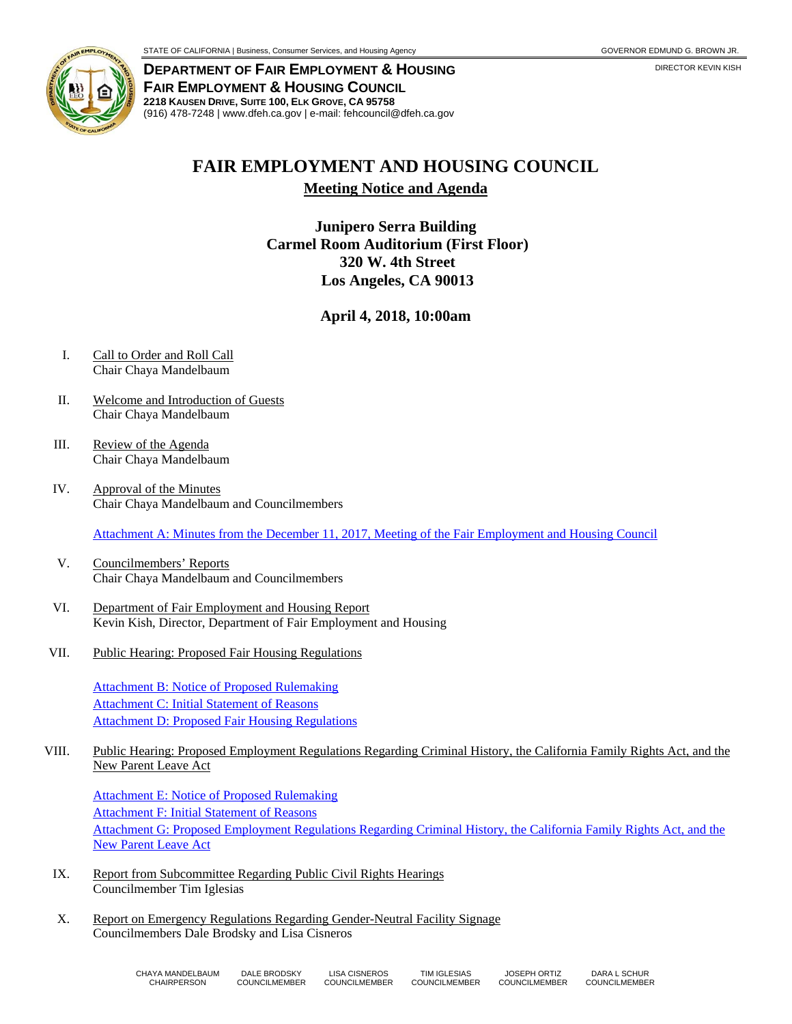

**DEPARTMENT OF FAIR EMPLOYMENT & HOUSING FAIR EMPLOYMENT & HOUSING COUNCIL 2218 KAUSEN DRIVE, SUITE 100, ELK GROVE, CA 95758**  (916) 478-7248 | www.dfeh.ca.gov | e-mail: fehcouncil@dfeh.ca.gov

## **FAIR EMPLOYMENT AND HOUSING COUNCIL**

**Meeting Notice and Agenda** 

**Junipero Serra Building Carmel Room Auditorium (First Floor) 320 W. 4th Street Los Angeles, CA 90013** 

**April 4, 2018, 10:00am** 

- I. Call to Order and Roll Call Chair Chaya Mandelbaum
- II. Welcome and Introduction of Guests Chair Chaya Mandelbaum
- III. Review of the Agenda Chair Chaya Mandelbaum
- IV. Approval of the Minutes Chair Chaya Mandelbaum and Councilmembers

Attachment A: Minutes from the December 11, 2017, Meeting of the Fair Employment and Housing Council

- V. Councilmembers' Reports Chair Chaya Mandelbaum and Councilmembers
- VI. Department of Fair Employment and Housing Report Kevin Kish, Director, Department of Fair Employment and Housing
- VII. Public Hearing: Proposed Fair Housing Regulations

Attachment B: Notice of Proposed Rulemaking Attachment C: Initial Statement of Reasons Attachment D: Proposed Fair Housing Regulations

VIII. Public Hearing: Proposed Employment Regulations Regarding Criminal History, the California Family Rights Act, and the New Parent Leave Act

Attachment E: Notice of Proposed Rulemaking Attachment F: Initial Statement of Reasons Attachment G: Proposed Employment Regulations Regarding Criminal History, the California Family Rights Act, and the New Parent Leave Act

- IX. Report from Subcommittee Regarding Public Civil Rights Hearings Councilmember Tim Iglesias
- X. Report on Emergency Regulations Regarding Gender-Neutral Facility Signage Councilmembers Dale Brodsky and Lisa Cisneros